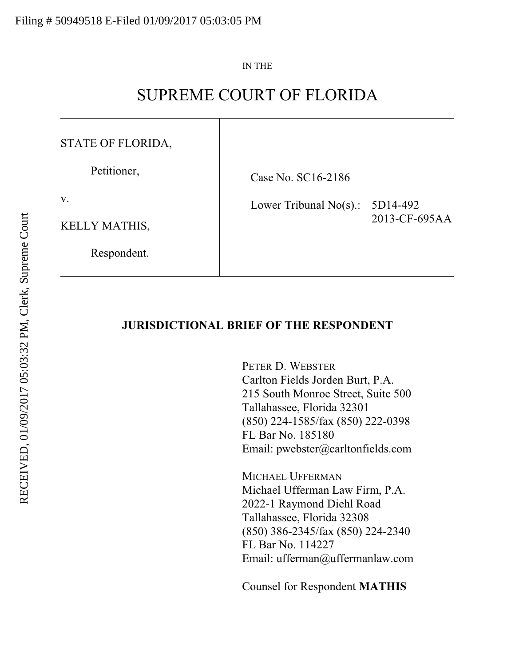#### IN THE

# SUPREME COURT OF FLORIDA

### STATE OF FLORIDA,

Petitioner,

Case No. SC16-2186

Lower Tribunal No(s).: 5D14-492

KELLY MATHIS,

v.

Respondent.

2013-CF-695AA

### **JURISDICTIONAL BRIEF OF THE RESPONDENT**

PETER D. WEBSTER Carlton Fields Jorden Burt, P.A. 215 South Monroe Street, Suite 500 Tallahassee, Florida 32301 (850) 224-1585/fax (850) 222-0398 FL Bar No. 185180 Email: pwebster@carltonfields.com

MICHAEL UFFERMAN Michael Ufferman Law Firm, P.A. 2022-1 Raymond Diehl Road Tallahassee, Florida 32308 (850) 386-2345/fax (850) 224-2340 FL Bar No. 114227 Email: ufferman@uffermanlaw.com

Counsel for Respondent **MATHIS**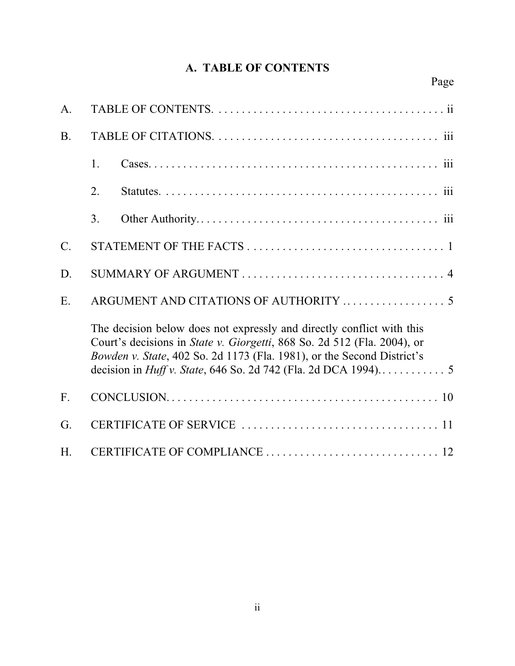## **A. TABLE OF CONTENTS**

| A.        |    |                                                                                                                                                                                                                                    |  |
|-----------|----|------------------------------------------------------------------------------------------------------------------------------------------------------------------------------------------------------------------------------------|--|
| <b>B.</b> |    |                                                                                                                                                                                                                                    |  |
|           | 1. |                                                                                                                                                                                                                                    |  |
|           | 2. |                                                                                                                                                                                                                                    |  |
|           | 3. |                                                                                                                                                                                                                                    |  |
| $C$ .     |    |                                                                                                                                                                                                                                    |  |
| D.        |    |                                                                                                                                                                                                                                    |  |
| E.        |    |                                                                                                                                                                                                                                    |  |
|           |    | The decision below does not expressly and directly conflict with this<br>Court's decisions in <i>State v. Giorgetti</i> , 868 So. 2d 512 (Fla. 2004), or<br>Bowden v. State, 402 So. 2d 1173 (Fla. 1981), or the Second District's |  |
| F.        |    |                                                                                                                                                                                                                                    |  |
| G.        |    |                                                                                                                                                                                                                                    |  |
| H.        |    |                                                                                                                                                                                                                                    |  |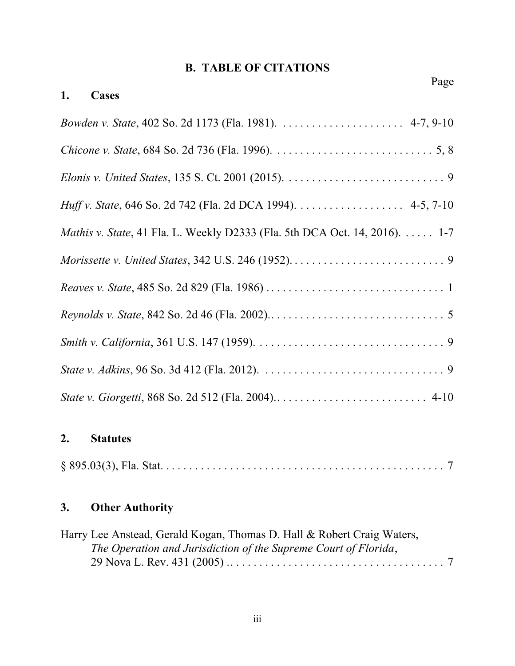## **B. TABLE OF CITATIONS**

| Page<br>1.<br>Cases                                                                |
|------------------------------------------------------------------------------------|
|                                                                                    |
|                                                                                    |
|                                                                                    |
|                                                                                    |
| <i>Huff v. State</i> , 646 So. 2d 742 (Fla. 2d DCA 1994). 4-5, 7-10                |
| <i>Mathis v. State</i> , 41 Fla. L. Weekly D2333 (Fla. 5th DCA Oct. 14, 2016). 1-7 |
|                                                                                    |
|                                                                                    |
|                                                                                    |
|                                                                                    |
|                                                                                    |
|                                                                                    |

## **2. Statutes**

## **3. Other Authority**

| Harry Lee Anstead, Gerald Kogan, Thomas D. Hall & Robert Craig Waters, |  |
|------------------------------------------------------------------------|--|
| The Operation and Jurisdiction of the Supreme Court of Florida,        |  |
|                                                                        |  |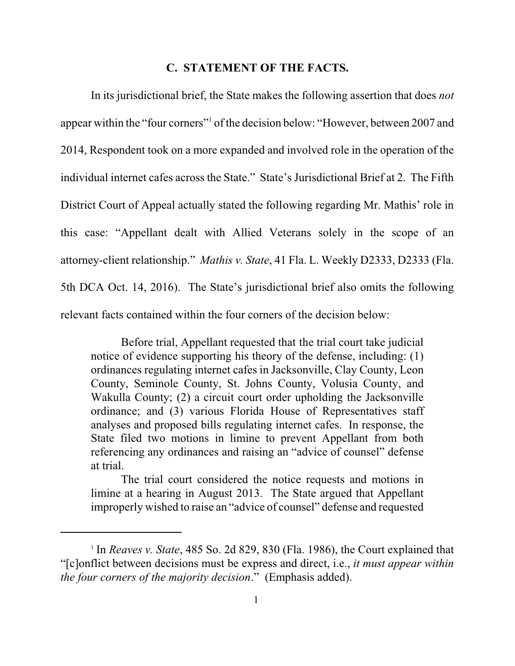#### **C. STATEMENT OF THE FACTS.**

In its jurisdictional brief, the State makes the following assertion that does *not* appear within the "four corners"<sup>1</sup> of the decision below: "However, between 2007 and 2014, Respondent took on a more expanded and involved role in the operation of the individual internet cafes across the State." State's Jurisdictional Brief at 2. The Fifth District Court of Appeal actually stated the following regarding Mr. Mathis' role in this case: "Appellant dealt with Allied Veterans solely in the scope of an attorney-client relationship." *Mathis v. State*, 41 Fla. L. Weekly D2333, D2333 (Fla. 5th DCA Oct. 14, 2016). The State's jurisdictional brief also omits the following relevant facts contained within the four corners of the decision below:

Before trial, Appellant requested that the trial court take judicial notice of evidence supporting his theory of the defense, including: (1) ordinances regulating internet cafes in Jacksonville, Clay County, Leon County, Seminole County, St. Johns County, Volusia County, and Wakulla County; (2) a circuit court order upholding the Jacksonville ordinance; and (3) various Florida House of Representatives staff analyses and proposed bills regulating internet cafes. In response, the State filed two motions in limine to prevent Appellant from both referencing any ordinances and raising an "advice of counsel" defense at trial.

The trial court considered the notice requests and motions in limine at a hearing in August 2013. The State argued that Appellant improperly wished to raise an "advice of counsel" defense and requested

<sup>&</sup>lt;sup>1</sup> In *Reaves v. State*, 485 So. 2d 829, 830 (Fla. 1986), the Court explained that "[c]onflict between decisions must be express and direct, i.e., *it must appear within the four corners of the majority decision*." (Emphasis added).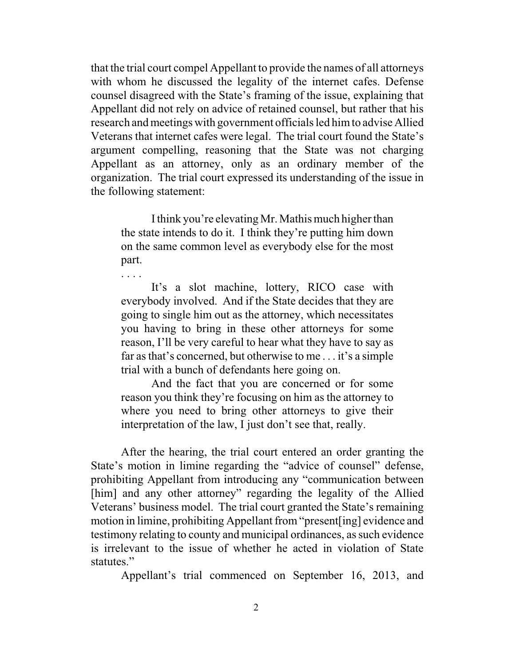that the trial court compel Appellant to provide the names of all attorneys with whom he discussed the legality of the internet cafes. Defense counsel disagreed with the State's framing of the issue, explaining that Appellant did not rely on advice of retained counsel, but rather that his research and meetings with government officials led himto advise Allied Veterans that internet cafes were legal. The trial court found the State's argument compelling, reasoning that the State was not charging Appellant as an attorney, only as an ordinary member of the organization. The trial court expressed its understanding of the issue in the following statement:

I think you're elevating Mr. Mathis much higher than the state intends to do it. I think they're putting him down on the same common level as everybody else for the most part.

. . . .

It's a slot machine, lottery, RICO case with everybody involved. And if the State decides that they are going to single him out as the attorney, which necessitates you having to bring in these other attorneys for some reason, I'll be very careful to hear what they have to say as far as that's concerned, but otherwise to me . . . it's a simple trial with a bunch of defendants here going on.

And the fact that you are concerned or for some reason you think they're focusing on him as the attorney to where you need to bring other attorneys to give their interpretation of the law, I just don't see that, really.

After the hearing, the trial court entered an order granting the State's motion in limine regarding the "advice of counsel" defense, prohibiting Appellant from introducing any "communication between [him] and any other attorney" regarding the legality of the Allied Veterans' business model. The trial court granted the State's remaining motion in limine, prohibiting Appellant from "present[ing] evidence and testimony relating to county and municipal ordinances, as such evidence is irrelevant to the issue of whether he acted in violation of State statutes."

Appellant's trial commenced on September 16, 2013, and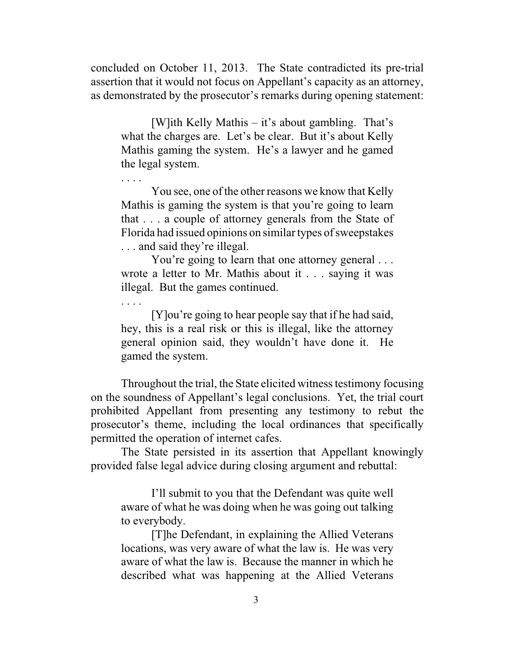concluded on October 11, 2013. The State contradicted its pre-trial assertion that it would not focus on Appellant's capacity as an attorney, as demonstrated by the prosecutor's remarks during opening statement:

[W]ith Kelly Mathis – it's about gambling. That's what the charges are. Let's be clear. But it's about Kelly Mathis gaming the system. He's a lawyer and he gamed the legal system.

. . . .

. . . .

You see, one of the other reasons we know that Kelly Mathis is gaming the system is that you're going to learn that . . . a couple of attorney generals from the State of Florida had issued opinions on similar types of sweepstakes . . . and said they're illegal.

You're going to learn that one attorney general . . . wrote a letter to Mr. Mathis about it . . . saying it was illegal. But the games continued.

[Y]ou're going to hear people say that if he had said, hey, this is a real risk or this is illegal, like the attorney general opinion said, they wouldn't have done it. He gamed the system.

Throughout the trial, the State elicited witness testimony focusing on the soundness of Appellant's legal conclusions. Yet, the trial court prohibited Appellant from presenting any testimony to rebut the prosecutor's theme, including the local ordinances that specifically permitted the operation of internet cafes.

The State persisted in its assertion that Appellant knowingly provided false legal advice during closing argument and rebuttal:

I'll submit to you that the Defendant was quite well aware of what he was doing when he was going out talking to everybody.

[T]he Defendant, in explaining the Allied Veterans locations, was very aware of what the law is. He was very aware of what the law is. Because the manner in which he described what was happening at the Allied Veterans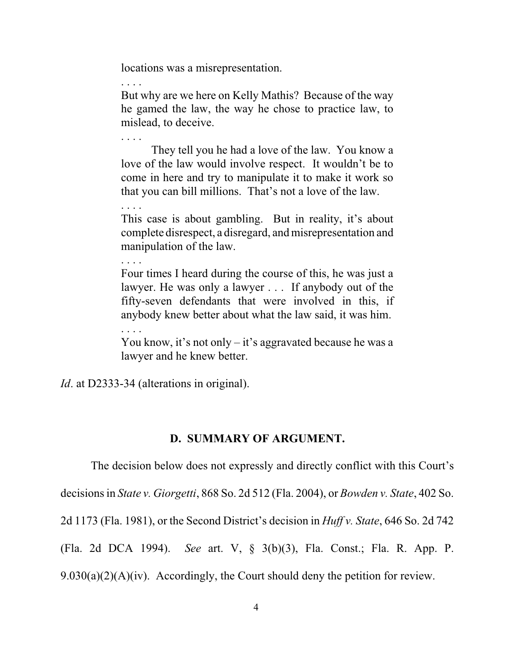locations was a misrepresentation.

. . . . But why are we here on Kelly Mathis? Because of the way he gamed the law, the way he chose to practice law, to mislead, to deceive.

They tell you he had a love of the law. You know a love of the law would involve respect. It wouldn't be to come in here and try to manipulate it to make it work so that you can bill millions. That's not a love of the law.

This case is about gambling. But in reality, it's about complete disrespect, a disregard, and misrepresentation and manipulation of the law.

Four times I heard during the course of this, he was just a lawyer. He was only a lawyer . . . If anybody out of the fifty-seven defendants that were involved in this, if anybody knew better about what the law said, it was him.

You know, it's not only – it's aggravated because he was a lawyer and he knew better.

*Id.* at D2333-34 (alterations in original).

. . . .

. . . .

. . . .

. . . .

#### **D. SUMMARY OF ARGUMENT.**

The decision below does not expressly and directly conflict with this Court's decisions in *State v. Giorgetti*, 868 So. 2d 512 (Fla. 2004), or *Bowden v. State*, 402 So. 2d 1173 (Fla. 1981), or the Second District's decision in *Huff v. State*, 646 So. 2d 742 (Fla. 2d DCA 1994). *See* art. V, § 3(b)(3), Fla. Const.; Fla. R. App. P.  $9.030(a)(2)(A)(iv)$ . Accordingly, the Court should deny the petition for review.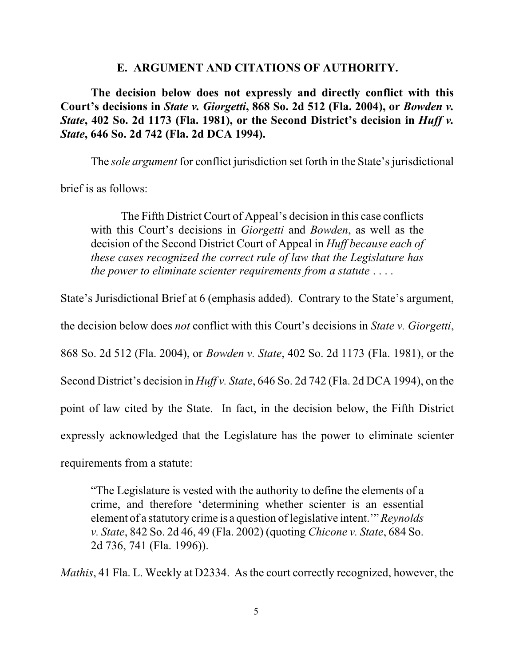#### **E. ARGUMENT AND CITATIONS OF AUTHORITY.**

**The decision below does not expressly and directly conflict with this Court's decisions in** *State v. Giorgetti***, 868 So. 2d 512 (Fla. 2004), or** *Bowden v. State***, 402 So. 2d 1173 (Fla. 1981), or the Second District's decision in** *Huff v. State***, 646 So. 2d 742 (Fla. 2d DCA 1994).** 

The *sole argument* for conflict jurisdiction set forth in the State's jurisdictional

brief is as follows:

The Fifth District Court of Appeal's decision in this case conflicts with this Court's decisions in *Giorgetti* and *Bowden*, as well as the decision of the Second District Court of Appeal in *Huff because each of these cases recognized the correct rule of law that the Legislature has the power to eliminate scienter requirements from a statute* . . . .

State's Jurisdictional Brief at 6 (emphasis added). Contrary to the State's argument,

the decision below does *not* conflict with this Court's decisions in *State v. Giorgetti*,

868 So. 2d 512 (Fla. 2004), or *Bowden v. State*, 402 So. 2d 1173 (Fla. 1981), or the

Second District's decision in *Huff v. State*, 646 So. 2d 742 (Fla. 2d DCA 1994), on the

point of law cited by the State. In fact, in the decision below, the Fifth District

expressly acknowledged that the Legislature has the power to eliminate scienter

requirements from a statute:

"The Legislature is vested with the authority to define the elements of a crime, and therefore 'determining whether scienter is an essential element of a statutory crime is a question of legislative intent.'" *Reynolds v. State*, 842 So. 2d 46, 49 (Fla. 2002) (quoting *Chicone v. State*, 684 So. 2d 736, 741 (Fla. 1996)).

*Mathis*, 41 Fla. L. Weekly at D2334. As the court correctly recognized, however, the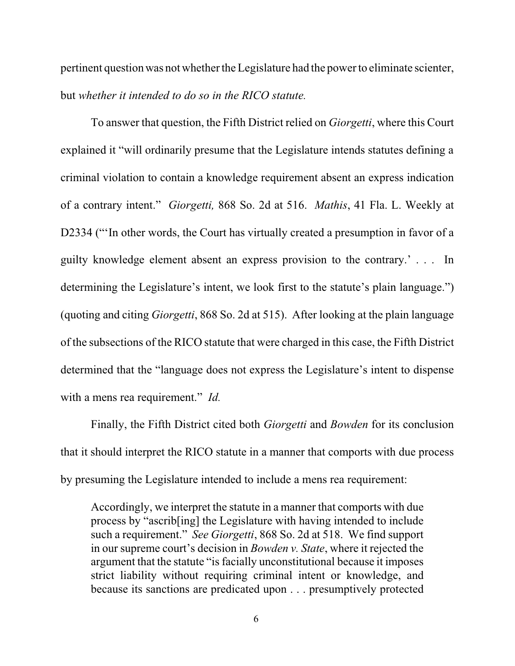pertinent question was not whether the Legislature had the power to eliminate scienter, but *whether it intended to do so in the RICO statute.* 

To answer that question, the Fifth District relied on *Giorgetti*, where this Court explained it "will ordinarily presume that the Legislature intends statutes defining a criminal violation to contain a knowledge requirement absent an express indication of a contrary intent." *Giorgetti,* 868 So. 2d at 516. *Mathis*, 41 Fla. L. Weekly at D2334 ("In other words, the Court has virtually created a presumption in favor of a guilty knowledge element absent an express provision to the contrary.' . . . In determining the Legislature's intent, we look first to the statute's plain language.") (quoting and citing *Giorgetti*, 868 So. 2d at 515). After looking at the plain language of the subsections of the RICO statute that were charged in this case, the Fifth District determined that the "language does not express the Legislature's intent to dispense with a mens rea requirement." *Id.*

Finally, the Fifth District cited both *Giorgetti* and *Bowden* for its conclusion that it should interpret the RICO statute in a manner that comports with due process by presuming the Legislature intended to include a mens rea requirement:

Accordingly, we interpret the statute in a manner that comports with due process by "ascrib[ing] the Legislature with having intended to include such a requirement." *See Giorgetti*, 868 So. 2d at 518. We find support in our supreme court's decision in *Bowden v. State*, where it rejected the argument that the statute "is facially unconstitutional because it imposes strict liability without requiring criminal intent or knowledge, and because its sanctions are predicated upon . . . presumptively protected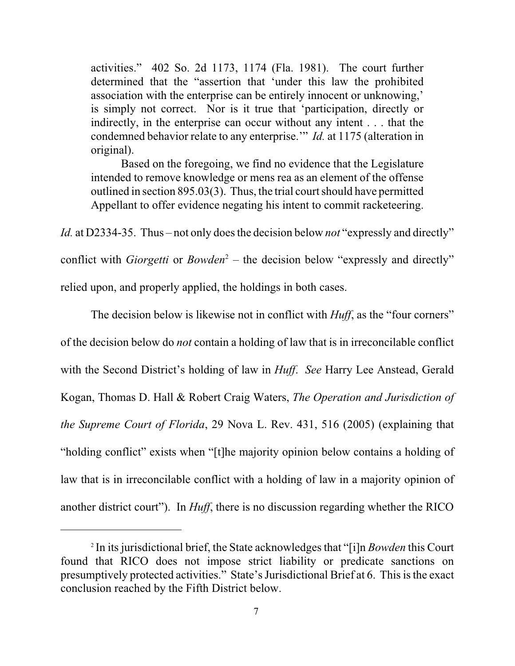activities." 402 So. 2d 1173, 1174 (Fla. 1981). The court further determined that the "assertion that 'under this law the prohibited association with the enterprise can be entirely innocent or unknowing,' is simply not correct. Nor is it true that 'participation, directly or indirectly, in the enterprise can occur without any intent . . . that the condemned behavior relate to any enterprise.'" *Id.* at 1175 (alteration in original).

Based on the foregoing, we find no evidence that the Legislature intended to remove knowledge or mens rea as an element of the offense outlined in section 895.03(3). Thus, the trial court should have permitted Appellant to offer evidence negating his intent to commit racketeering.

*Id.* at D2334-35. Thus – not only does the decision below *not* "expressly and directly" conflict with *Giorgetti* or *Bowden*<sup>2</sup> – the decision below "expressly and directly" relied upon, and properly applied, the holdings in both cases.

The decision below is likewise not in conflict with *Huff*, as the "four corners" of the decision below do *not* contain a holding of law that is in irreconcilable conflict with the Second District's holding of law in *Huff*. *See* Harry Lee Anstead, Gerald Kogan, Thomas D. Hall & Robert Craig Waters, *The Operation and Jurisdiction of the Supreme Court of Florida*, 29 Nova L. Rev. 431, 516 (2005) (explaining that "holding conflict" exists when "[t]he majority opinion below contains a holding of law that is in irreconcilable conflict with a holding of law in a majority opinion of another district court"). In *Huff*, there is no discussion regarding whether the RICO

<sup>2</sup> In its jurisdictional brief, the State acknowledges that "[i]n *Bowden* this Court found that RICO does not impose strict liability or predicate sanctions on presumptively protected activities." State's Jurisdictional Brief at 6. This is the exact conclusion reached by the Fifth District below.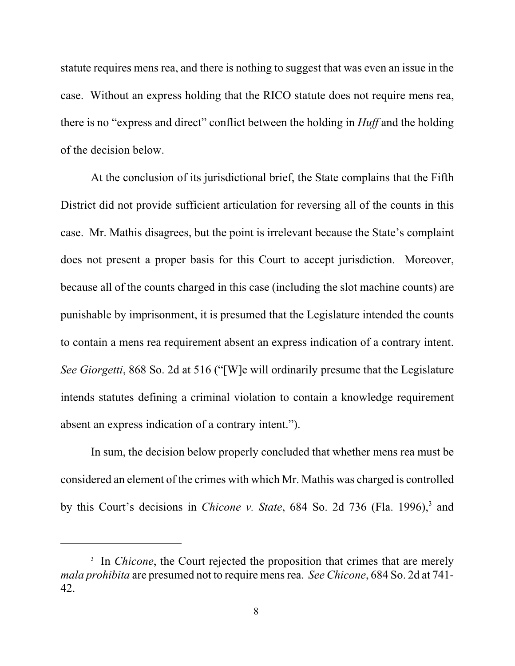statute requires mens rea, and there is nothing to suggest that was even an issue in the case. Without an express holding that the RICO statute does not require mens rea, there is no "express and direct" conflict between the holding in *Huff* and the holding of the decision below.

At the conclusion of its jurisdictional brief, the State complains that the Fifth District did not provide sufficient articulation for reversing all of the counts in this case. Mr. Mathis disagrees, but the point is irrelevant because the State's complaint does not present a proper basis for this Court to accept jurisdiction. Moreover, because all of the counts charged in this case (including the slot machine counts) are punishable by imprisonment, it is presumed that the Legislature intended the counts to contain a mens rea requirement absent an express indication of a contrary intent. *See Giorgetti*, 868 So. 2d at 516 ("[W]e will ordinarily presume that the Legislature intends statutes defining a criminal violation to contain a knowledge requirement absent an express indication of a contrary intent.").

In sum, the decision below properly concluded that whether mens rea must be considered an element of the crimes with which Mr. Mathis was charged is controlled by this Court's decisions in *Chicone v. State*, 684 So. 2d 736 (Fla. 1996),<sup>3</sup> and

<sup>&</sup>lt;sup>3</sup> In *Chicone*, the Court rejected the proposition that crimes that are merely *mala prohibita* are presumed not to require mens rea. *See Chicone*, 684 So. 2d at 741- 42.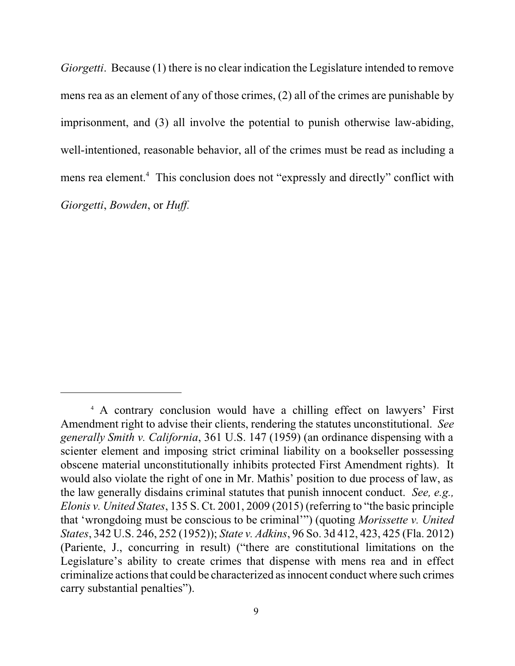*Giorgetti*. Because (1) there is no clear indication the Legislature intended to remove mens rea as an element of any of those crimes, (2) all of the crimes are punishable by imprisonment, and (3) all involve the potential to punish otherwise law-abiding, well-intentioned, reasonable behavior, all of the crimes must be read as including a mens rea element.<sup>4</sup> This conclusion does not "expressly and directly" conflict with *Giorgetti*, *Bowden*, or *Huff.*

<sup>4</sup> A contrary conclusion would have a chilling effect on lawyers' First Amendment right to advise their clients, rendering the statutes unconstitutional. *See generally Smith v. California*, 361 U.S. 147 (1959) (an ordinance dispensing with a scienter element and imposing strict criminal liability on a bookseller possessing obscene material unconstitutionally inhibits protected First Amendment rights). It would also violate the right of one in Mr. Mathis' position to due process of law, as the law generally disdains criminal statutes that punish innocent conduct. *See, e.g., Elonis v. United States*, 135 S. Ct. 2001, 2009 (2015) (referring to "the basic principle that 'wrongdoing must be conscious to be criminal'") (quoting *Morissette v. United States*, 342 U.S. 246, 252 (1952)); *State v. Adkins*, 96 So. 3d 412, 423, 425 (Fla. 2012) (Pariente, J., concurring in result) ("there are constitutional limitations on the Legislature's ability to create crimes that dispense with mens rea and in effect criminalize actions that could be characterized as innocent conduct where such crimes carry substantial penalties").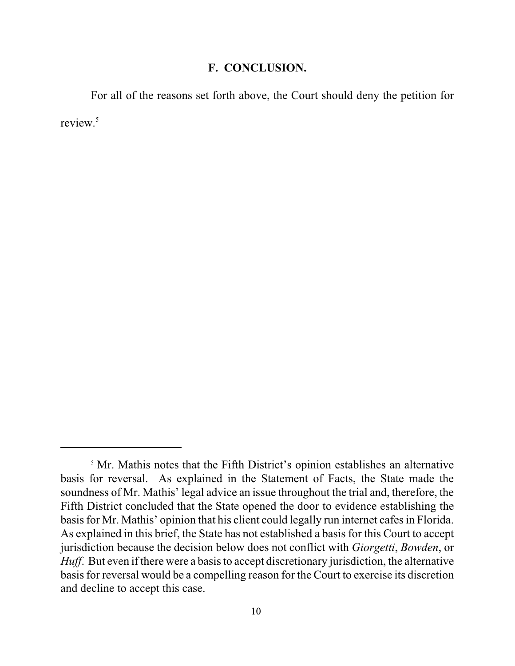### **F. CONCLUSION.**

For all of the reasons set forth above, the Court should deny the petition for review.<sup>5</sup>

<sup>&</sup>lt;sup>5</sup> Mr. Mathis notes that the Fifth District's opinion establishes an alternative basis for reversal. As explained in the Statement of Facts, the State made the soundness of Mr. Mathis' legal advice an issue throughout the trial and, therefore, the Fifth District concluded that the State opened the door to evidence establishing the basis for Mr. Mathis' opinion that his client could legally run internet cafes in Florida. As explained in this brief, the State has not established a basis for this Court to accept jurisdiction because the decision below does not conflict with *Giorgetti*, *Bowden*, or *Huff*. But even if there were a basis to accept discretionary jurisdiction, the alternative basis for reversal would be a compelling reason for the Court to exercise its discretion and decline to accept this case.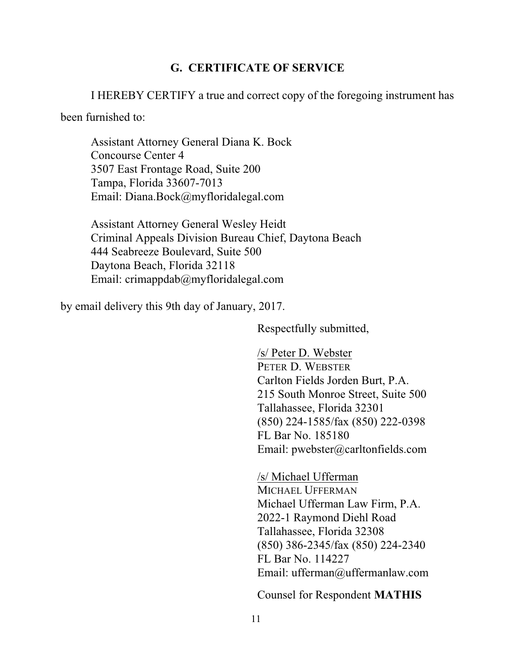### **G. CERTIFICATE OF SERVICE**

I HEREBY CERTIFY a true and correct copy of the foregoing instrument has

been furnished to:

Assistant Attorney General Diana K. Bock Concourse Center 4 3507 East Frontage Road, Suite 200 Tampa, Florida 33607-7013 Email: Diana.Bock@myfloridalegal.com

Assistant Attorney General Wesley Heidt Criminal Appeals Division Bureau Chief, Daytona Beach 444 Seabreeze Boulevard, Suite 500 Daytona Beach, Florida 32118 Email: crimappdab@myfloridalegal.com

by email delivery this 9th day of January, 2017.

Respectfully submitted,

/s/ Peter D. Webster PETER D. WEBSTER Carlton Fields Jorden Burt, P.A. 215 South Monroe Street, Suite 500 Tallahassee, Florida 32301 (850) 224-1585/fax (850) 222-0398 FL Bar No. 185180 Email: pwebster@carltonfields.com

/s/ Michael Ufferman MICHAEL UFFERMAN Michael Ufferman Law Firm, P.A. 2022-1 Raymond Diehl Road Tallahassee, Florida 32308 (850) 386-2345/fax (850) 224-2340 FL Bar No. 114227 Email: ufferman@uffermanlaw.com

Counsel for Respondent **MATHIS**